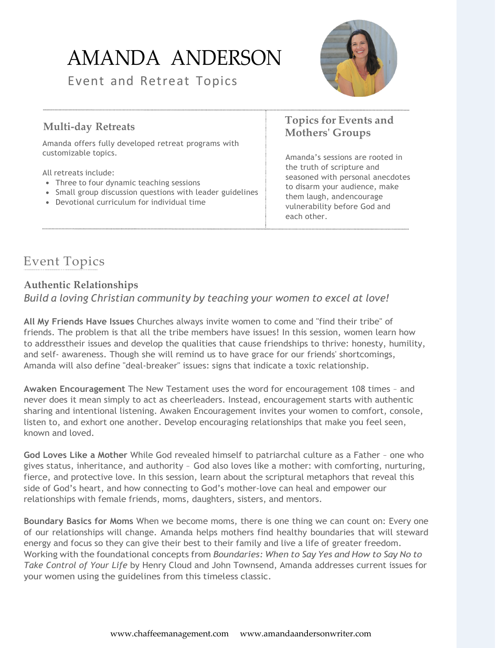# AMANDA ANDERSON

Event and Retreat Topics



#### **Multi-day Retreats**

Amanda offers fully developed retreat programs with customizable topics.

All retreats include:

- Three to four dynamic teaching sessions
- Small group discussion questions with leader guidelines
- Devotional curriculum for individual time

#### **Topics for Events and Mothers' Groups**

Amanda's sessions are rooted in the truth of scripture and seasoned with personal anecdotes to disarm your audience, make them laugh, and encourage vulnerability before God and each other.

## Event Topics

#### **Authentic Relationships** *Build a loving Christian community by teaching your women to excel at love!*

**All My Friends Have Issues** Churches always invite women to come and "find their tribe" of friends. The problem is that all the tribe members have issues! In this session, women learn how to addresstheir issues and develop the qualities that cause friendships to thrive: honesty, humility, and self- awareness. Though she will remind us to have grace for our friends' shortcomings, Amanda will also define "deal-breaker" issues: signs that indicate a toxic relationship.

**Awaken Encouragement** The New Testament uses the word for encouragement 108 times – and never does it mean simply to act as cheerleaders. Instead, encouragement starts with authentic sharing and intentional listening. Awaken Encouragement invites your women to comfort, console, listen to, and exhort one another. Develop encouraging relationships that make you feel seen, known and loved.

**God Loves Like a Mother** While God revealed himself to patriarchal culture as a Father – one who gives status, inheritance, and authority – God also loves like a mother: with comforting, nurturing, fierce, and protective love. In this session, learn about the scriptural metaphors that reveal this side of God's heart, and how connecting to God's mother-love can heal and empower our relationships with female friends, moms, daughters, sisters, and mentors.

**Boundary Basics for Moms** When we become moms, there is one thing we can count on: Every one of our relationships will change. Amanda helps mothers find healthy boundaries that will steward energy and focus so they can give their best to their family and live a life of greater freedom. Working with the foundational concepts from *Boundaries: When to Say Yes and How to Say No to Take Control of Your Life* by Henry Cloud and John Townsend, Amanda addresses current issues for your women using the guidelines from this timeless classic.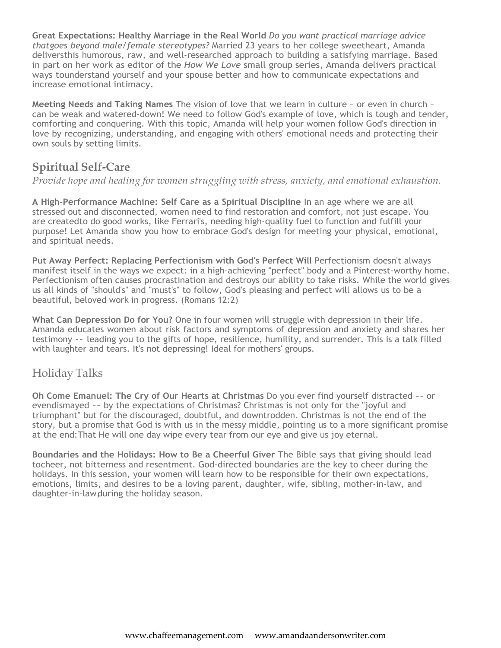**Great Expectations: Healthy Marriage in the Real World** *Do you want practical marriage advice thatgoes beyond male/female stereotypes?* Married 23 years to her college sweetheart, Amanda deliversthis humorous, raw, and well-researched approach to building a satisfying marriage. Based in part on her work as editor of the *How We Love* small group series, Amanda delivers practical ways tounderstand yourself and your spouse better and how to communicate expectations and increase emotional intimacy.

**Meeting Needs and Taking Names** The vision of love that we learn in culture – or even in church – can be weak and watered-down! We need to follow God's example of love, which is tough and tender, comforting and conquering. With this topic, Amanda will help your women follow God's direction in love by recognizing, understanding, and engaging with others' emotional needs and protecting their own souls by setting limits.

### **Spiritual Self-Care**

*Provide hope and healing for women struggling with stress, anxiety, and emotional exhaustion.*

**A High-Performance Machine: Self Care as a Spiritual Discipline** In an age where we are all stressed out and disconnected, women need to find restoration and comfort, not just escape. You are createdto do good works, like Ferrari's, needing high-quality fuel to function and fulfill your purpose! Let Amanda show you how to embrace God's design for meeting your physical, emotional, and spiritual needs.

**Put Away Perfect: Replacing Perfectionism with God's Perfect Will** Perfectionism doesn't always manifest itself in the ways we expect: in a high-achieving "perfect" body and a Pinterest-worthy home. Perfectionism often causes procrastination and destroys our ability to take risks. While the world gives us all kinds of "should's" and "must's" to follow, God's pleasing and perfect will allows us to be a beautiful, beloved work in progress. (Romans 12:2)

**What Can Depression Do for You?** One in four women will struggle with depression in their life. Amanda educates women about risk factors and symptoms of depression and anxiety and shares her testimony -- leading you to the gifts of hope, resilience, humility, and surrender. This is a talk filled with laughter and tears. It's not depressing! Ideal for mothers' groups.

### Holiday Talks

**Oh Come Emanuel: The Cry of Our Hearts at Christmas** Do you ever find yourself distracted -- or evendismayed -- by the expectations of Christmas? Christmas is not only for the "joyful and triumphant" but for the discouraged, doubtful, and downtrodden. Christmas is not the end of the story, but a promise that God is with us in the messy middle, pointing us to a more significant promise at the end:That He will one day wipe every tear from our eye and give us joy eternal.

**Boundaries and the Holidays: How to Be a Cheerful Giver** The Bible says that giving should lead tocheer, not bitterness and resentment. God-directed boundaries are the key to cheer during the holidays. In this session, your women will learn how to be responsible for their own expectations, emotions, limits, and desires to be a loving parent, daughter, wife, sibling, mother-in-law, and daughter-in-law, during the holiday season.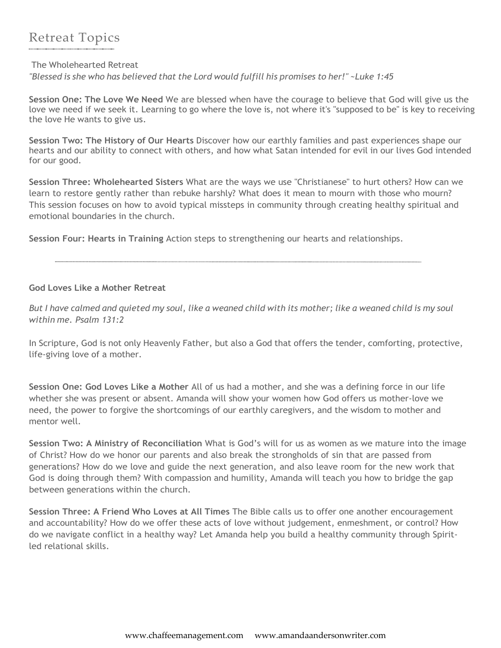#### The Wholehearted Retreat

*"Blessed is she who has believed that the Lord would fulfill his promises to her!" ~Luke 1:45*

**Session One: The Love We Need** We are blessed when have the courage to believe that God will give us the love we need if we seek it. Learning to go where the love is, not where it's "supposed to be" is key to receiving the love He wants to give us.

**Session Two: The History of Our Hearts** Discover how our earthly families and past experiences shape our hearts and our ability to connect with others, and how what Satan intended for evil in our lives God intended for our good.

**Session Three: Wholehearted Sisters** What are the ways we use "Christianese" to hurt others? How can we learn to restore gently rather than rebuke harshly? What does it mean to mourn with those who mourn? This session focuses on how to avoid typical missteps in community through creating healthy spiritual and emotional boundaries in the church.

**Session Four: Hearts in Training** Action steps to strengthening our hearts and relationships.

#### **God Loves Like a Mother Retreat**

But I have calmed and quieted my soul, like a weaned child with its mother; like a weaned child is my soul *within me. [Psalm](https://www.biblegateway.com/passage/?search=Psalm%2B131%3A2&version=ESV) 131:2*

In Scripture, God is not only Heavenly Father, but also a God that offers the tender, comforting, protective, life-giving love of a mother.

**Session One: God Loves Like a Mother** All of us had a mother, and she was a defining force in our life whether she was present or absent. Amanda will show your women how God offers us mother-love we need, the power to forgive the shortcomings of our earthly caregivers, and the wisdom to mother and mentor well.

**Session Two: A Ministry of Reconciliation** What is God's will for us as women as we mature into the image of Christ? How do we honor our parents and also break the strongholds of sin that are passed from generations? How do we love and guide the next generation, and also leave room for the new work that God is doing through them? With compassion and humility, Amanda will teach you how to bridge the gap between generations within the church.

**Session Three: A Friend Who Loves at All Times** The Bible calls us to offer one another encouragement and accountability? How do we offer these acts of love without judgement, enmeshment, or control? How do we navigate conflict in a healthy way? Let Amanda help you build a healthy community through Spiritled relational skills.